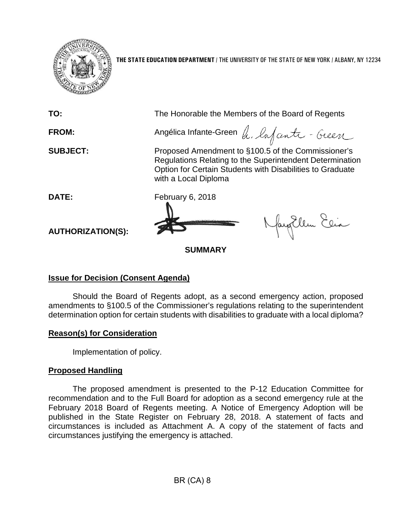

**THE STATE EDUCATION DEPARTMENT** / THE UNIVERSITY OF THE STATE OF NEW YORK / ALBANY, NY 12234

| TO:                      | The Honorable the Members of the Board of Regents                                                                                                                                                   |
|--------------------------|-----------------------------------------------------------------------------------------------------------------------------------------------------------------------------------------------------|
| <b>FROM:</b>             | Angélica Infante-Green A. Lafante - Geen                                                                                                                                                            |
| <b>SUBJECT:</b>          | Proposed Amendment to §100.5 of the Commissioner's<br>Regulations Relating to the Superintendent Determination<br>Option for Certain Students with Disabilities to Graduate<br>with a Local Diploma |
| DATE:                    | February 6, 2018                                                                                                                                                                                    |
| <b>AUTHORIZATION(S):</b> | Naytlem Elia                                                                                                                                                                                        |
| <b>SUMMARY</b>           |                                                                                                                                                                                                     |

## **Issue for Decision (Consent Agenda)**

Should the Board of Regents adopt, as a second emergency action, proposed amendments to §100.5 of the Commissioner's regulations relating to the superintendent determination option for certain students with disabilities to graduate with a local diploma?

## **Reason(s) for Consideration**

Implementation of policy.

## **Proposed Handling**

The proposed amendment is presented to the P-12 Education Committee for recommendation and to the Full Board for adoption as a second emergency rule at the February 2018 Board of Regents meeting. A Notice of Emergency Adoption will be published in the State Register on February 28, 2018. A statement of facts and circumstances is included as Attachment A. A copy of the statement of facts and circumstances justifying the emergency is attached.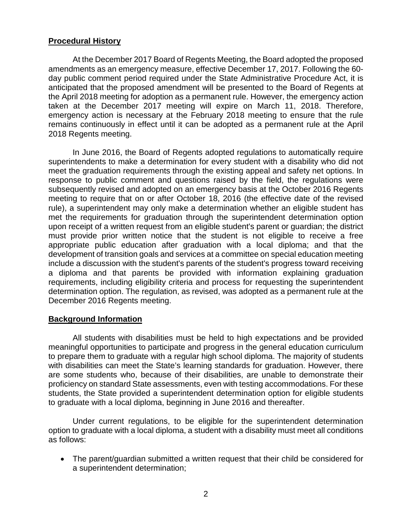## **Procedural History**

At the December 2017 Board of Regents Meeting, the Board adopted the proposed amendments as an emergency measure, effective December 17, 2017. Following the 60 day public comment period required under the State Administrative Procedure Act, it is anticipated that the proposed amendment will be presented to the Board of Regents at the April 2018 meeting for adoption as a permanent rule. However, the emergency action taken at the December 2017 meeting will expire on March 11, 2018. Therefore, emergency action is necessary at the February 2018 meeting to ensure that the rule remains continuously in effect until it can be adopted as a permanent rule at the April 2018 Regents meeting.

In June 2016, the Board of Regents adopted regulations to automatically require superintendents to make a determination for every student with a disability who did not meet the graduation requirements through the existing appeal and safety net options. In response to public comment and questions raised by the field, the regulations were subsequently revised and adopted on an emergency basis at the October 2016 Regents meeting to require that on or after October 18, 2016 (the effective date of the revised rule), a superintendent may only make a determination whether an eligible student has met the requirements for graduation through the superintendent determination option upon receipt of a written request from an eligible student's parent or guardian; the district must provide prior written notice that the student is not eligible to receive a free appropriate public education after graduation with a local diploma; and that the development of transition goals and services at a committee on special education meeting include a discussion with the student's parents of the student's progress toward receiving a diploma and that parents be provided with information explaining graduation requirements, including eligibility criteria and process for requesting the superintendent determination option. The regulation, as revised, was adopted as a permanent rule at the December 2016 Regents meeting.

## **Background Information**

All students with disabilities must be held to high expectations and be provided meaningful opportunities to participate and progress in the general education curriculum to prepare them to graduate with a regular high school diploma. The majority of students with disabilities can meet the State's learning standards for graduation. However, there are some students who, because of their disabilities, are unable to demonstrate their proficiency on standard State assessments, even with testing accommodations. For these students, the State provided a superintendent determination option for eligible students to graduate with a local diploma, beginning in June 2016 and thereafter.

Under current regulations, to be eligible for the superintendent determination option to graduate with a local diploma, a student with a disability must meet all conditions as follows:

• The parent/guardian submitted a written request that their child be considered for a superintendent determination;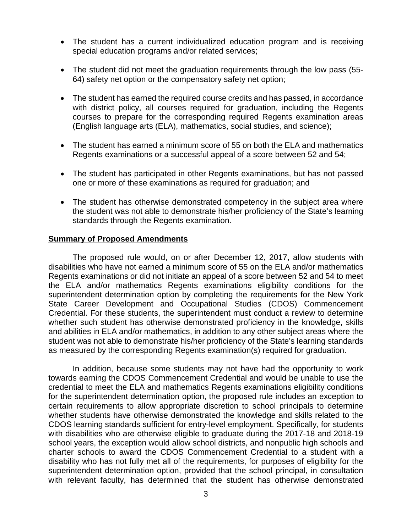- The student has a current individualized education program and is receiving special education programs and/or related services;
- The student did not meet the graduation requirements through the low pass (55- 64) safety net option or the compensatory safety net option;
- The student has earned the required course credits and has passed, in accordance with district policy, all courses required for graduation, including the Regents courses to prepare for the corresponding required Regents examination areas (English language arts (ELA), mathematics, social studies, and science);
- The student has earned a minimum score of 55 on both the ELA and mathematics Regents examinations or a successful appeal of a score between 52 and 54;
- The student has participated in other Regents examinations, but has not passed one or more of these examinations as required for graduation; and
- The student has otherwise demonstrated competency in the subject area where the student was not able to demonstrate his/her proficiency of the State's learning standards through the Regents examination.

#### **Summary of Proposed Amendments**

The proposed rule would, on or after December 12, 2017, allow students with disabilities who have not earned a minimum score of 55 on the ELA and/or mathematics Regents examinations or did not initiate an appeal of a score between 52 and 54 to meet the ELA and/or mathematics Regents examinations eligibility conditions for the superintendent determination option by completing the requirements for the New York State Career Development and Occupational Studies (CDOS) Commencement Credential. For these students, the superintendent must conduct a review to determine whether such student has otherwise demonstrated proficiency in the knowledge, skills and abilities in ELA and/or mathematics, in addition to any other subject areas where the student was not able to demonstrate his/her proficiency of the State's learning standards as measured by the corresponding Regents examination(s) required for graduation.

In addition, because some students may not have had the opportunity to work towards earning the CDOS Commencement Credential and would be unable to use the credential to meet the ELA and mathematics Regents examinations eligibility conditions for the superintendent determination option, the proposed rule includes an exception to certain requirements to allow appropriate discretion to school principals to determine whether students have otherwise demonstrated the knowledge and skills related to the CDOS learning standards sufficient for entry-level employment. Specifically, for students with disabilities who are otherwise eligible to graduate during the 2017-18 and 2018-19 school years, the exception would allow school districts, and nonpublic high schools and charter schools to award the CDOS Commencement Credential to a student with a disability who has not fully met all of the requirements, for purposes of eligibility for the superintendent determination option, provided that the school principal, in consultation with relevant faculty, has determined that the student has otherwise demonstrated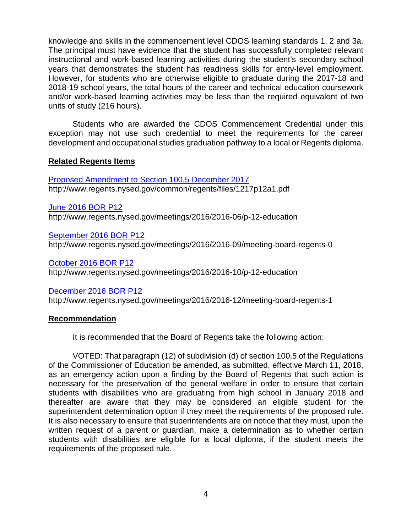knowledge and skills in the commencement level CDOS learning standards 1, 2 and 3a. The principal must have evidence that the student has successfully completed relevant instructional and work-based learning activities during the student's secondary school years that demonstrates the student has readiness skills for entry-level employment. However, for students who are otherwise eligible to graduate during the 2017-18 and 2018-19 school years, the total hours of the career and technical education coursework and/or work-based learning activities may be less than the required equivalent of two units of study (216 hours).

Students who are awarded the CDOS Commencement Credential under this exception may not use such credential to meet the requirements for the career development and occupational studies graduation pathway to a local or Regents diploma.

### **Related Regents Items**

[Proposed Amendment to Section 100.5 December 2017](http://www.regents.nysed.gov/common/regents/files/1217p12a1.pdf) http://www.regents.nysed.gov/common/regents/files/1217p12a1.pdf

[June 2016 BOR P12](http://www.regents.nysed.gov/meetings/2016/2016-06/p-12-education)

http://www.regents.nysed.gov/meetings/2016/2016-06/p-12-education

[September 2016 BOR P12](http://www.regents.nysed.gov/meetings/2016/2016-09/meeting-board-regents-0) http://www.regents.nysed.gov/meetings/2016/2016-09/meeting-board-regents-0

[October 2016 BOR P12](http://www.regents.nysed.gov/meetings/2016/2016-10/p-12-education) http://www.regents.nysed.gov/meetings/2016/2016-10/p-12-education

## [December 2016 BOR](http://www.regents.nysed.gov/meetings/2016/2016-12/meeting-board-regents-1) P12

http://www.regents.nysed.gov/meetings/2016/2016-12/meeting-board-regents-1

## **Recommendation**

It is recommended that the Board of Regents take the following action:

VOTED: That paragraph (12) of subdivision (d) of section 100.5 of the Regulations of the Commissioner of Education be amended, as submitted, effective March 11, 2018, as an emergency action upon a finding by the Board of Regents that such action is necessary for the preservation of the general welfare in order to ensure that certain students with disabilities who are graduating from high school in January 2018 and thereafter are aware that they may be considered an eligible student for the superintendent determination option if they meet the requirements of the proposed rule. It is also necessary to ensure that superintendents are on notice that they must, upon the written request of a parent or guardian, make a determination as to whether certain students with disabilities are eligible for a local diploma, if the student meets the requirements of the proposed rule.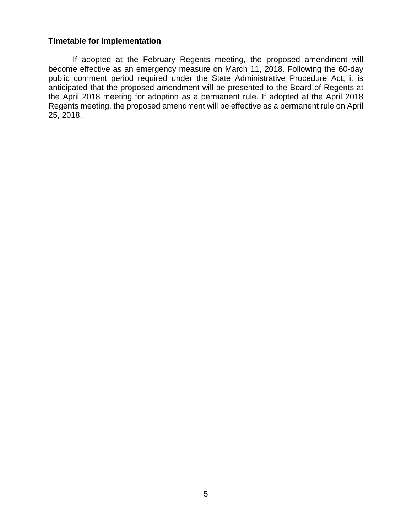### **Timetable for Implementation**

If adopted at the February Regents meeting, the proposed amendment will become effective as an emergency measure on March 11, 2018. Following the 60-day public comment period required under the State Administrative Procedure Act, it is anticipated that the proposed amendment will be presented to the Board of Regents at the April 2018 meeting for adoption as a permanent rule. If adopted at the April 2018 Regents meeting, the proposed amendment will be effective as a permanent rule on April 25, 2018.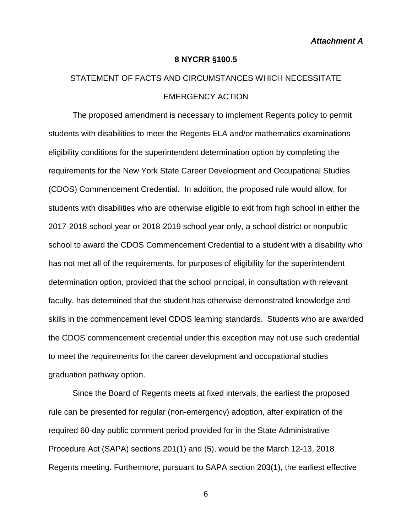#### **8 NYCRR §100.5**

# STATEMENT OF FACTS AND CIRCUMSTANCES WHICH NECESSITATE EMERGENCY ACTION

The proposed amendment is necessary to implement Regents policy to permit students with disabilities to meet the Regents ELA and/or mathematics examinations eligibility conditions for the superintendent determination option by completing the requirements for the New York State Career Development and Occupational Studies (CDOS) Commencement Credential. In addition, the proposed rule would allow, for students with disabilities who are otherwise eligible to exit from high school in either the 2017-2018 school year or 2018-2019 school year only, a school district or nonpublic school to award the CDOS Commencement Credential to a student with a disability who has not met all of the requirements, for purposes of eligibility for the superintendent determination option, provided that the school principal, in consultation with relevant faculty, has determined that the student has otherwise demonstrated knowledge and skills in the commencement level CDOS learning standards. Students who are awarded the CDOS commencement credential under this exception may not use such credential to meet the requirements for the career development and occupational studies graduation pathway option.

Since the Board of Regents meets at fixed intervals, the earliest the proposed rule can be presented for regular (non-emergency) adoption, after expiration of the required 60-day public comment period provided for in the State Administrative Procedure Act (SAPA) sections 201(1) and (5), would be the March 12-13, 2018 Regents meeting. Furthermore, pursuant to SAPA section 203(1), the earliest effective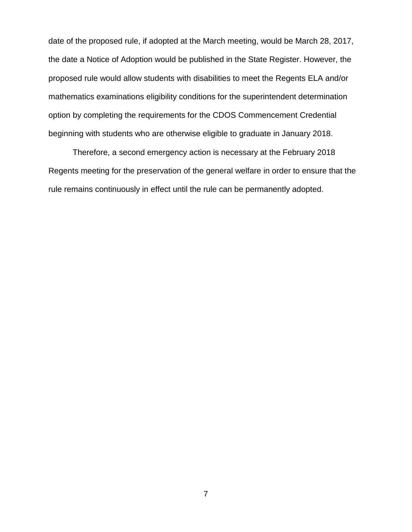date of the proposed rule, if adopted at the March meeting, would be March 28, 2017, the date a Notice of Adoption would be published in the State Register. However, the proposed rule would allow students with disabilities to meet the Regents ELA and/or mathematics examinations eligibility conditions for the superintendent determination option by completing the requirements for the CDOS Commencement Credential beginning with students who are otherwise eligible to graduate in January 2018.

Therefore, a second emergency action is necessary at the February 2018 Regents meeting for the preservation of the general welfare in order to ensure that the rule remains continuously in effect until the rule can be permanently adopted.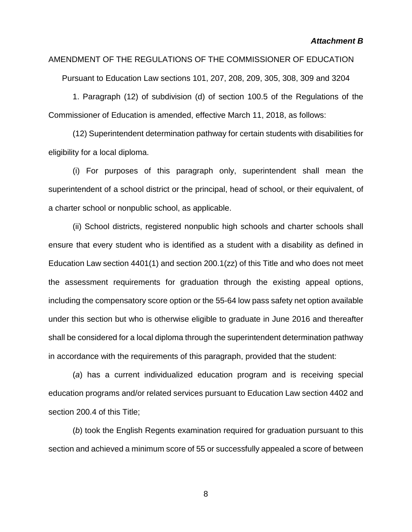AMENDMENT OF THE REGULATIONS OF THE COMMISSIONER OF EDUCATION

Pursuant to Education Law sections 101, 207, 208, 209, 305, 308, 309 and 3204

1. Paragraph (12) of subdivision (d) of section 100.5 of the Regulations of the Commissioner of Education is amended, effective March 11, 2018, as follows:

(12) Superintendent determination pathway for certain students with disabilities for eligibility for a local diploma.

(i) For purposes of this paragraph only, superintendent shall mean the superintendent of a school district or the principal, head of school, or their equivalent, of a charter school or nonpublic school, as applicable.

(ii) School districts, registered nonpublic high schools and charter schools shall ensure that every student who is identified as a student with a disability as defined in Education Law section 4401(1) and section 200.1(zz) of this Title and who does not meet the assessment requirements for graduation through the existing appeal options, including the compensatory score option or the 55-64 low pass safety net option available under this section but who is otherwise eligible to graduate in June 2016 and thereafter shall be considered for a local diploma through the superintendent determination pathway in accordance with the requirements of this paragraph, provided that the student:

(*a*) has a current individualized education program and is receiving special education programs and/or related services pursuant to Education Law section 4402 and section 200.4 of this Title;

(*b*) took the English Regents examination required for graduation pursuant to this section and achieved a minimum score of 55 or successfully appealed a score of between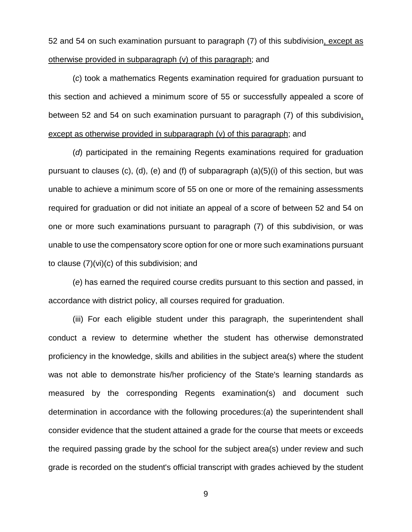52 and 54 on such examination pursuant to paragraph (7) of this subdivision, except as otherwise provided in subparagraph (v) of this paragraph; and

(*c*) took a mathematics Regents examination required for graduation pursuant to this section and achieved a minimum score of 55 or successfully appealed a score of between 52 and 54 on such examination pursuant to paragraph (7) of this subdivision, except as otherwise provided in subparagraph (v) of this paragraph; and

(*d*) participated in the remaining Regents examinations required for graduation pursuant to clauses (c), (d), (e) and (f) of subparagraph (a)(5)(i) of this section, but was unable to achieve a minimum score of 55 on one or more of the remaining assessments required for graduation or did not initiate an appeal of a score of between 52 and 54 on one or more such examinations pursuant to paragraph (7) of this subdivision, or was unable to use the compensatory score option for one or more such examinations pursuant to clause (7)(vi)(c) of this subdivision; and

(*e*) has earned the required course credits pursuant to this section and passed, in accordance with district policy, all courses required for graduation.

(iii) For each eligible student under this paragraph, the superintendent shall conduct a review to determine whether the student has otherwise demonstrated proficiency in the knowledge, skills and abilities in the subject area(s) where the student was not able to demonstrate his/her proficiency of the State's learning standards as measured by the corresponding Regents examination(s) and document such determination in accordance with the following procedures:(*a*) the superintendent shall consider evidence that the student attained a grade for the course that meets or exceeds the required passing grade by the school for the subject area(s) under review and such grade is recorded on the student's official transcript with grades achieved by the student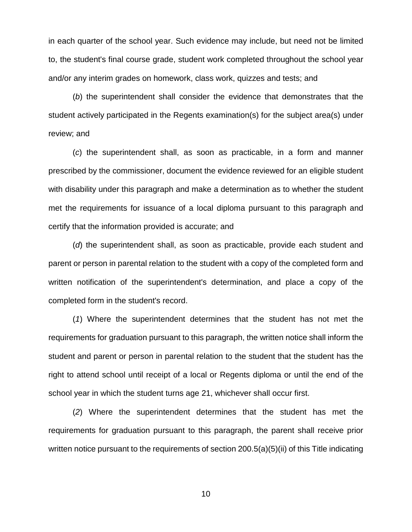in each quarter of the school year. Such evidence may include, but need not be limited to, the student's final course grade, student work completed throughout the school year and/or any interim grades on homework, class work, quizzes and tests; and

(*b*) the superintendent shall consider the evidence that demonstrates that the student actively participated in the Regents examination(s) for the subject area(s) under review; and

(*c*) the superintendent shall, as soon as practicable, in a form and manner prescribed by the commissioner, document the evidence reviewed for an eligible student with disability under this paragraph and make a determination as to whether the student met the requirements for issuance of a local diploma pursuant to this paragraph and certify that the information provided is accurate; and

(*d*) the superintendent shall, as soon as practicable, provide each student and parent or person in parental relation to the student with a copy of the completed form and written notification of the superintendent's determination, and place a copy of the completed form in the student's record.

(*1*) Where the superintendent determines that the student has not met the requirements for graduation pursuant to this paragraph, the written notice shall inform the student and parent or person in parental relation to the student that the student has the right to attend school until receipt of a local or Regents diploma or until the end of the school year in which the student turns age 21, whichever shall occur first.

(*2*) Where the superintendent determines that the student has met the requirements for graduation pursuant to this paragraph, the parent shall receive prior written notice pursuant to the requirements of section 200.5(a)(5)(ii) of this Title indicating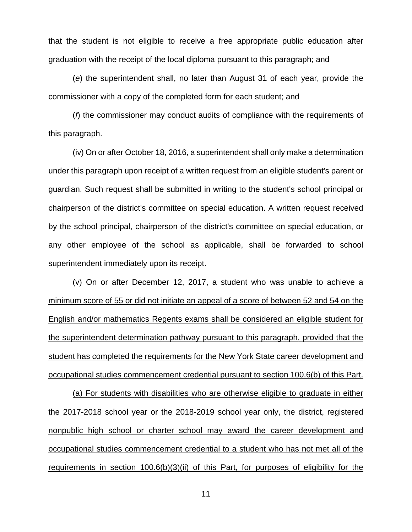that the student is not eligible to receive a free appropriate public education after graduation with the receipt of the local diploma pursuant to this paragraph; and

(*e*) the superintendent shall, no later than August 31 of each year, provide the commissioner with a copy of the completed form for each student; and

(*f*) the commissioner may conduct audits of compliance with the requirements of this paragraph.

(iv) On or after October 18, 2016, a superintendent shall only make a determination under this paragraph upon receipt of a written request from an eligible student's parent or guardian. Such request shall be submitted in writing to the student's school principal or chairperson of the district's committee on special education. A written request received by the school principal, chairperson of the district's committee on special education, or any other employee of the school as applicable, shall be forwarded to school superintendent immediately upon its receipt.

(v) On or after December 12, 2017, a student who was unable to achieve a minimum score of 55 or did not initiate an appeal of a score of between 52 and 54 on the English and/or mathematics Regents exams shall be considered an eligible student for the superintendent determination pathway pursuant to this paragraph, provided that the student has completed the requirements for the New York State career development and occupational studies commencement credential pursuant to section 100.6(b) of this Part.

(a) For students with disabilities who are otherwise eligible to graduate in either the 2017-2018 school year or the 2018-2019 school year only, the district, registered nonpublic high school or charter school may award the career development and occupational studies commencement credential to a student who has not met all of the requirements in section 100.6(b)(3)(ii) of this Part, for purposes of eligibility for the